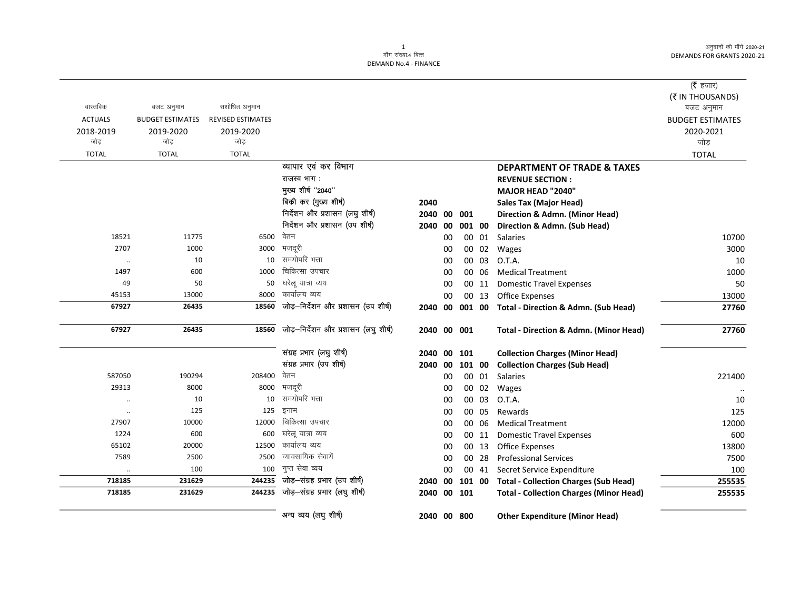$=$ 

|                                                                                                                                  | (र हजार)                |
|----------------------------------------------------------------------------------------------------------------------------------|-------------------------|
|                                                                                                                                  | (₹ IN THOUSANDS)        |
| संशोधित अनुमान<br>बजट अनुमान                                                                                                     | बजट अनुमान              |
| <b>REVISED ESTIMATES</b><br><b>BUDGET ESTIMATES</b>                                                                              | <b>BUDGET ESTIMATES</b> |
| 2019-2020<br>2019-2020                                                                                                           | 2020-2021               |
| जोड<br>जोड                                                                                                                       | जोड़                    |
| <b>TOTAL</b><br><b>TOTAL</b>                                                                                                     | <b>TOTAL</b>            |
| व्यापार एवं कर विभाग<br><b>DEPARTMENT OF TRADE &amp; TAXES</b>                                                                   |                         |
| राजस्व भाग:<br><b>REVENUE SECTION:</b>                                                                                           |                         |
| मुख्य शीर्ष "2040"<br><b>MAJOR HEAD "2040"</b>                                                                                   |                         |
| बिकी कर (मुख्य शीर्ष)<br>2040<br><b>Sales Tax (Major Head)</b>                                                                   |                         |
| निर्देशन और प्रशासन (लघु शीर्ष)<br>2040<br>00<br>001<br>Direction & Admn. (Minor Head)                                           |                         |
| निर्देशन और प्रशासन (उप शीर्ष)<br>001 00<br>Direction & Admn. (Sub Head)<br>2040<br>00                                           |                         |
| वेतन<br>18521<br>11775<br>6500<br>00<br>00 01 Salaries                                                                           | 10700                   |
| 2707<br>1000<br>मजदूरी<br>3000<br>00 02<br>Wages<br>00                                                                           | 3000                    |
| समयोपरि भत्ता<br>10<br>10<br>00 03<br>O.T.A.<br>00<br>$\ldots$                                                                   | 10                      |
| चिकित्सा उपचार<br>1497<br>600<br>1000<br>00<br>00 06<br><b>Medical Treatment</b>                                                 | 1000                    |
| घरेलू यात्रा व्यय<br>50<br>50<br>49<br>00<br>00 11<br><b>Domestic Travel Expenses</b>                                            | 50                      |
| कार्यालय व्यय<br>8000<br>45153<br>13000<br>00<br>00 13<br>Office Expenses                                                        | 13000                   |
| जोड़-निर्देशन और प्रशासन (उप शीर्ष)<br>18560<br>67927<br>26435<br>2040 00 001 00 Total - Direction & Admn. (Sub Head)            | 27760                   |
| जोड़-निर्देशन और प्रशासन (लघु शीर्ष)<br>67927<br>26435<br>18560<br>2040 00 001<br>Total - Direction & Admn. (Minor Head)         | 27760                   |
| संग्रह प्रभार (लघु शीर्ष)<br><b>Collection Charges (Minor Head)</b><br>2040<br>00 101                                            |                         |
| संग्रह प्रभार (उप शीर्ष)<br><b>Collection Charges (Sub Head)</b><br>2040 00 101 00                                               |                         |
| वेतन<br>587050<br>190294<br>208400<br>00<br>00 01 Salaries                                                                       | 221400                  |
| मजदूरी<br>29313<br>8000<br>8000<br>00<br>00 02 Wages                                                                             | $\ddotsc$               |
| समयोपरि भत्ता<br>10<br>O.T.A.<br>10<br>00 03<br>00<br>$\ddotsc$                                                                  | 10                      |
| इनाम<br>125<br>125<br>00<br>00 05<br>Rewards<br>$\cdot$                                                                          | 125                     |
| चिकित्सा उपचार<br>10000<br>12000<br>27907<br>00<br>00 06<br><b>Medical Treatment</b>                                             | 12000                   |
| घरेलू यात्रा व्यय<br>1224<br>600<br>600<br>00<br>00 11<br><b>Domestic Travel Expenses</b>                                        | 600                     |
| कार्यालय व्यय<br>65102<br>20000<br>12500<br>00 13<br><b>Office Expenses</b><br>00                                                | 13800                   |
| व्यावसायिक सेवायें<br>7589<br>2500<br>2500<br>00 28<br>00<br><b>Professional Services</b>                                        | 7500                    |
| गुप्त सेवा व्यय<br>100<br>100<br>00<br>00 41<br>Secret Service Expenditure                                                       | 100                     |
| जोड़–संग्रह प्रभार (उप शीर्ष)<br>244235<br>718185<br>231629<br>2040 00<br>101 00<br><b>Total - Collection Charges (Sub Head)</b> | 255535                  |
| जोड़-संग्रह प्रभार (लघु शीर्ष)<br>244235<br>718185<br>231629<br>2040 00 101<br><b>Total - Collection Charges (Minor Head)</b>    | 255535                  |
| अन्य व्यय (लघु शीर्ष)<br>2040 00 800<br><b>Other Expenditure (Minor Head)</b>                                                    |                         |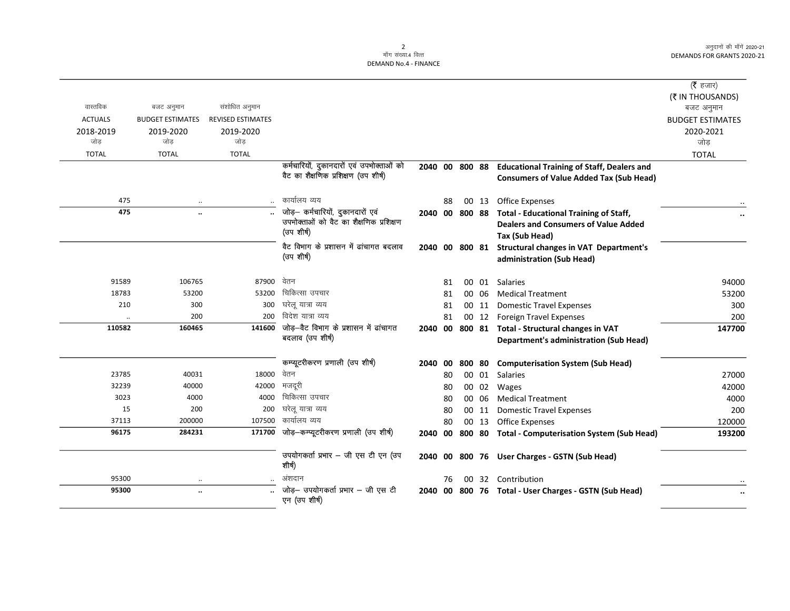$\overline{\phantom{0}}$ 

|                |                         |                          |                                                                                   |                |    |        |       |                                                       | ( $\bar{\tau}$ हजार)    |
|----------------|-------------------------|--------------------------|-----------------------------------------------------------------------------------|----------------|----|--------|-------|-------------------------------------------------------|-------------------------|
|                |                         |                          |                                                                                   |                |    |        |       |                                                       | (₹ IN THOUSANDS)        |
| वास्तविक       | बजट अनुमान              | संशोधित अनुमान           |                                                                                   |                |    |        |       |                                                       | बजट अनुमान              |
| <b>ACTUALS</b> | <b>BUDGET ESTIMATES</b> | <b>REVISED ESTIMATES</b> |                                                                                   |                |    |        |       |                                                       | <b>BUDGET ESTIMATES</b> |
| 2018-2019      | 2019-2020               | 2019-2020                |                                                                                   |                |    |        |       |                                                       | 2020-2021               |
| जोड            | जोड                     | जोड                      |                                                                                   |                |    |        |       |                                                       | जोड                     |
| <b>TOTAL</b>   | <b>TOTAL</b>            | <b>TOTAL</b>             |                                                                                   |                |    |        |       |                                                       | <b>TOTAL</b>            |
|                |                         |                          | कर्मचारियों, दुकानदारों एवं उपभोक्ताओं को<br>वैट का शैक्षणिक प्रशिक्षण (उप शीर्ष) | 2040 00 800 88 |    |        |       | <b>Educational Training of Staff, Dealers and</b>     |                         |
|                |                         |                          |                                                                                   |                |    |        |       | <b>Consumers of Value Added Tax (Sub Head)</b>        |                         |
| 475            |                         |                          | कार्यालय व्यय                                                                     |                | 88 |        | 00 13 | <b>Office Expenses</b>                                |                         |
| 475            |                         |                          | जोड़- कर्मचारियों, दुकानदारों एवं                                                 | 2040 00 800 88 |    |        |       | <b>Total - Educational Training of Staff,</b>         |                         |
|                |                         |                          | उपभोक्ताओं को वैट का शैक्षणिक प्रशिक्षण<br>(उप शीर्ष)                             |                |    |        |       | <b>Dealers and Consumers of Value Added</b>           |                         |
|                |                         |                          |                                                                                   |                |    |        |       | Tax (Sub Head)                                        |                         |
|                |                         |                          | वैट विभाग के प्रशासन में ढांचागत बदलाव                                            | 2040 00 800 81 |    |        |       | <b>Structural changes in VAT Department's</b>         |                         |
|                |                         |                          | (उप शीर्ष)                                                                        |                |    |        |       | administration (Sub Head)                             |                         |
| 91589          | 106765                  | 87900                    | वेतन                                                                              |                | 81 |        | 00 01 | <b>Salaries</b>                                       | 94000                   |
| 18783          | 53200                   | 53200                    | चिकित्सा उपचार                                                                    |                | 81 |        | 00 06 | <b>Medical Treatment</b>                              | 53200                   |
| 210            | 300                     | 300                      | घरेलू यात्रा व्यय                                                                 |                | 81 |        | 00 11 | <b>Domestic Travel Expenses</b>                       | 300                     |
|                | 200                     | 200                      | विदेश यात्रा व्यय                                                                 |                | 81 |        | 00 12 | <b>Foreign Travel Expenses</b>                        | 200                     |
| 110582         | 160465                  | 141600                   | जोड़-वैट विभाग के प्रशासन में ढांचागत                                             |                |    |        |       | 2040 00 800 81 Total - Structural changes in VAT      | 147700                  |
|                |                         |                          | बदलाव (उप शीर्ष)                                                                  |                |    |        |       | <b>Department's administration (Sub Head)</b>         |                         |
|                |                         |                          | कम्प्यूटरीकरण प्रणाली (उप शीषे)                                                   | 2040 00        |    | 800 80 |       | <b>Computerisation System (Sub Head)</b>              |                         |
| 23785          | 40031                   | 18000                    | वेतन                                                                              |                | 80 |        | 00 01 | Salaries                                              | 27000                   |
| 32239          | 40000                   | 42000                    | मजदूरी                                                                            |                | 80 |        | 00 02 | Wages                                                 | 42000                   |
| 3023           | 4000                    | 4000                     | चिकित्सा उपचार                                                                    |                | 80 |        | 00 06 | <b>Medical Treatment</b>                              | 4000                    |
| 15             | 200                     | 200                      | घरेलू यात्रा व्यय                                                                 |                | 80 |        | 00 11 | <b>Domestic Travel Expenses</b>                       | 200                     |
| 37113          | 200000                  | 107500                   | कार्यालय व्यय                                                                     |                | 80 |        | 00 13 | Office Expenses                                       | 120000                  |
| 96175          | 284231                  | 171700                   | जोड़-कम्प्यूटरीकरण प्रणाली (उप शीर्ष)                                             | 2040           | 00 |        |       | 800 80 Total - Computerisation System (Sub Head)      | 193200                  |
|                |                         |                          | उपयोगकर्ता प्रभार - जी एस टी एन (उप<br>शीर्ष)                                     |                |    |        |       | 2040 00 800 76 User Charges - GSTN (Sub Head)         |                         |
| 95300          |                         |                          | अंशदान                                                                            |                | 76 |        |       | 00 32 Contribution                                    |                         |
| 95300          | $\ddotsc$               |                          | जोड़— उपयोगकर्ता प्रभार — जी एस टी<br>एन (उप शीर्ष)                               |                |    |        |       | 2040 00 800 76 Total - User Charges - GSTN (Sub Head) |                         |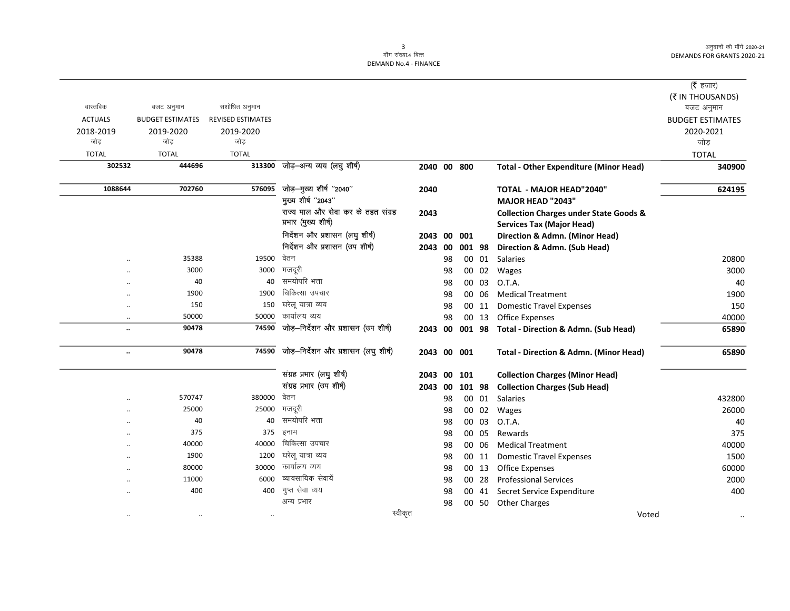|                      |                         |                          |                                      |         |    |             |        |                                                   | ( <b>रै</b> हजार)       |
|----------------------|-------------------------|--------------------------|--------------------------------------|---------|----|-------------|--------|---------------------------------------------------|-------------------------|
|                      |                         |                          |                                      |         |    |             |        |                                                   | (₹ IN THOUSANDS)        |
| वास्तविक             | बजट अनुमान              | संशोधित अनुमान           |                                      |         |    |             |        |                                                   | बजट अनुमान              |
| <b>ACTUALS</b>       | <b>BUDGET ESTIMATES</b> | <b>REVISED ESTIMATES</b> |                                      |         |    |             |        |                                                   | <b>BUDGET ESTIMATES</b> |
| 2018-2019            | 2019-2020               | 2019-2020                |                                      |         |    |             |        |                                                   | 2020-2021               |
| जोड                  | जोड                     | जोड                      |                                      |         |    |             |        |                                                   | जोड                     |
| <b>TOTAL</b>         | <b>TOTAL</b>            | <b>TOTAL</b>             |                                      |         |    |             |        |                                                   | <b>TOTAL</b>            |
| 302532               | 444696                  | 313300                   | जोड़-अन्य व्यय (लघु शीर्ष)           |         |    | 2040 00 800 |        | <b>Total - Other Expenditure (Minor Head)</b>     | 340900                  |
| 1088644              | 702760                  | 576095                   | जोड़-मुख्य शीर्ष "2040"              | 2040    |    |             |        | <b>TOTAL - MAJOR HEAD"2040"</b>                   | 624195                  |
|                      |                         |                          | मुख्य शीर्ष "2043"                   |         |    |             |        | MAJOR HEAD "2043"                                 |                         |
|                      |                         |                          | राज्य माल और सेवा कर के तहत संग्रह   | 2043    |    |             |        | <b>Collection Charges under State Goods &amp;</b> |                         |
|                      |                         |                          | प्रभार (मुख्य शीर्ष)                 |         |    |             |        | <b>Services Tax (Major Head)</b>                  |                         |
|                      |                         |                          | निर्देशन और प्रशासन (लघु शीर्ष)      | 2043    | 00 | 001         |        | Direction & Admn. (Minor Head)                    |                         |
|                      |                         |                          | निर्देशन और प्रशासन (उप शीर्ष)       | 2043    | 00 |             | 001 98 | Direction & Admn. (Sub Head)                      |                         |
| $\cdot$              | 35388                   | 19500                    | वेतन                                 |         | 98 |             |        | 00 01 Salaries                                    | 20800                   |
|                      | 3000                    | 3000                     | मजदूरी                               |         | 98 |             | 00 02  | Wages                                             | 3000                    |
|                      | 40                      | 40                       | समयोपरि भत्ता                        |         | 98 |             | 00 03  | O.T.A.                                            | 40                      |
| $\cdot$              | 1900                    | 1900                     | चिकित्सा उपचार                       |         | 98 |             | 00 06  | <b>Medical Treatment</b>                          | 1900                    |
| $\ddotsc$            | 150                     | 150                      | घरेलू यात्रा व्यय                    |         | 98 |             | 00 11  | <b>Domestic Travel Expenses</b>                   | 150                     |
| $\ddotsc$            | 50000                   | 50000                    | कार्यालय व्यय                        |         | 98 |             | 00 13  | <b>Office Expenses</b>                            | 40000                   |
| $\ddot{\phantom{0}}$ | 90478                   | 74590                    | जोड़-निर्देशन और प्रशासन (उप शीर्ष)  | 2043    | 00 | 001 98      |        | Total - Direction & Admn. (Sub Head)              | 65890                   |
| $\ddotsc$            | 90478                   | 74590                    | जोड़-निर्देशन और प्रशासन (लघु शीर्ष) |         |    | 2043 00 001 |        | <b>Total - Direction &amp; Admn. (Minor Head)</b> | 65890                   |
|                      |                         |                          | संग्रह प्रभार (लघु शीर्ष)            | 2043    | 00 | 101         |        | <b>Collection Charges (Minor Head)</b>            |                         |
|                      |                         |                          | संग्रह प्रभार (उप शीर्ष)             | 2043    | 00 |             | 101 98 | <b>Collection Charges (Sub Head)</b>              |                         |
| $\ddotsc$            | 570747                  | 380000                   | वेतन                                 |         | 98 |             | 00 01  | Salaries                                          | 432800                  |
| $\ddot{\phantom{a}}$ | 25000                   | 25000                    | मजदूरी                               |         | 98 |             | 00 02  | Wages                                             | 26000                   |
| $\ddotsc$            | 40                      | 40                       | समयोपरि भत्ता                        |         | 98 |             | 00 03  | O.T.A.                                            | 40                      |
| $\cdot$              | 375                     | 375                      | इनाम                                 |         | 98 |             | 00 05  | Rewards                                           | 375                     |
| $\cdot$              | 40000                   | 40000                    | चिकित्सा उपचार                       |         | 98 |             | 00 06  | <b>Medical Treatment</b>                          | 40000                   |
| $\ddot{\phantom{0}}$ | 1900                    | 1200                     | घरेलू यात्रा व्यय                    |         | 98 |             | 00 11  | <b>Domestic Travel Expenses</b>                   | 1500                    |
| $\ddot{\phantom{a}}$ | 80000                   | 30000                    | कार्यालय व्यय                        |         | 98 |             | 00 13  | <b>Office Expenses</b>                            | 60000                   |
|                      | 11000                   | 6000                     | व्यावसायिक सेवायें                   |         | 98 |             | 00 28  | <b>Professional Services</b>                      | 2000                    |
|                      | 400                     | 400                      | गुप्त सेवा व्यय                      |         | 98 |             |        | 00 41 Secret Service Expenditure                  | 400                     |
|                      |                         |                          | अन्य प्रभार                          |         | 98 |             |        | 00 50 Other Charges                               |                         |
| $\ddotsc$            | $\cdot$ .               |                          |                                      | स्वीकृत |    |             |        | Voted                                             |                         |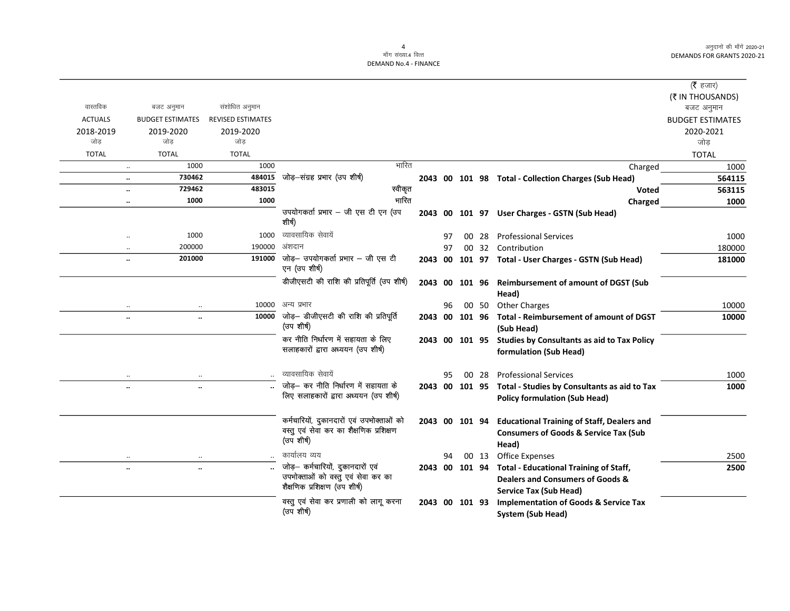|                |                                |                          |                                                                                                    |         |    |                 |       |                                                                                                                | ( $\bar{\tau}$ हजार)                  |
|----------------|--------------------------------|--------------------------|----------------------------------------------------------------------------------------------------|---------|----|-----------------|-------|----------------------------------------------------------------------------------------------------------------|---------------------------------------|
| वास्तविक       | बजट अनुमान                     | संशोधित अनुमान           |                                                                                                    |         |    |                 |       |                                                                                                                | (₹ IN THOUSANDS)                      |
| <b>ACTUALS</b> | <b>BUDGET ESTIMATES</b>        | <b>REVISED ESTIMATES</b> |                                                                                                    |         |    |                 |       |                                                                                                                | बजट अनुमान<br><b>BUDGET ESTIMATES</b> |
| 2018-2019      | 2019-2020                      | 2019-2020                |                                                                                                    |         |    |                 |       |                                                                                                                | 2020-2021                             |
| जोड            | जोड                            | जोड                      |                                                                                                    |         |    |                 |       |                                                                                                                | जोड                                   |
| <b>TOTAL</b>   | <b>TOTAL</b>                   | <b>TOTAL</b>             |                                                                                                    |         |    |                 |       |                                                                                                                | <b>TOTAL</b>                          |
|                | 1000<br>$\ldots$               | 1000                     | भारित                                                                                              |         |    |                 |       | Charged                                                                                                        | 1000                                  |
|                | 730462<br>$\ldots$             | 484015                   | जोड़—संग्रह प्रभार (उप शीर्ष)                                                                      |         |    |                 |       | 2043 00 101 98 Total - Collection Charges (Sub Head)                                                           | 564115                                |
|                | 729462<br>$\ddotsc$            | 483015                   | स्वीकृत                                                                                            |         |    |                 |       | <b>Voted</b>                                                                                                   | 563115                                |
|                | 1000<br>$\cdots$               | 1000                     | भारित                                                                                              |         |    |                 |       | Charged                                                                                                        | 1000                                  |
|                |                                |                          | उपयोगकर्ता प्रभार - जी एस टी एन (उप<br>शीर्ष)                                                      |         |    |                 |       | 2043 00 101 97 User Charges - GSTN (Sub Head)                                                                  |                                       |
|                | 1000<br>$\ddotsc$              | 1000                     | व्यावसायिक सेवायें                                                                                 |         | 97 | 00 <sup>1</sup> | -28   | <b>Professional Services</b>                                                                                   | 1000                                  |
|                | 200000<br>$\ddotsc$            | 190000                   | अंशदान                                                                                             |         | 97 |                 |       | 00 32 Contribution                                                                                             | 180000                                |
|                | 201000<br>$\ddot{\phantom{0}}$ | 191000                   | जोड़– उपयोगकर्ता प्रभार – जी एस टी<br>एन (उप शीर्ष)                                                | 2043 00 |    |                 |       | 101 97 Total - User Charges - GSTN (Sub Head)                                                                  | 181000                                |
|                |                                |                          | डीजीएसटी की राशि की प्रतिपूर्ति (उप शीर्ष)                                                         | 2043 00 |    |                 |       | 101 96 Reimbursement of amount of DGST (Sub<br>Head)                                                           |                                       |
|                | $\ddotsc$<br>$\ddotsc$         | 10000                    | अन्य प्रभार                                                                                        |         | 96 |                 |       | 00 50 Other Charges                                                                                            | 10000                                 |
|                | $\ddotsc$<br>$\ldots$          |                          | 10000 जोड़- डीजीएसटी की राशि की प्रतिपूर्ति                                                        |         |    | 2043 00 101 96  |       | <b>Total - Reimbursement of amount of DGST</b>                                                                 | 10000                                 |
|                |                                |                          | (उप शीर्ष)                                                                                         |         |    |                 |       | (Sub Head)                                                                                                     |                                       |
|                |                                |                          | कर नीति निर्धारण में सहायता के लिए<br>सलाहकारों द्वारा अध्ययन (उप शीर्ष)                           |         |    | 2043 00 101 95  |       | <b>Studies by Consultants as aid to Tax Policy</b><br>formulation (Sub Head)                                   |                                       |
|                |                                |                          | व्यावसायिक सेवायें                                                                                 |         | 95 |                 | 00 28 | <b>Professional Services</b>                                                                                   | 1000                                  |
|                | $\ddot{\phantom{a}}$           |                          | जोड़- कर नीति निर्धारण में सहायता के<br>लिए सलाहकारों द्वारा अध्ययन (उप शीर्ष)                     |         |    |                 |       | 2043 00 101 95 Total - Studies by Consultants as aid to Tax<br><b>Policy formulation (Sub Head)</b>            | 1000                                  |
|                |                                |                          | कर्मचारियों, दुकानदारों एवं उपभोक्ताओं को<br>वस्तु एवं सेवा कर का शैक्षणिक प्रशिक्षण<br>(उप शीर्ष) |         |    | 2043 00 101 94  |       | <b>Educational Training of Staff, Dealers and</b><br><b>Consumers of Goods &amp; Service Tax (Sub</b><br>Head) |                                       |
|                |                                |                          | कार्यालय व्यय                                                                                      |         | 94 |                 | 00 13 | <b>Office Expenses</b>                                                                                         | 2500                                  |
|                | $\ldots$<br>$\ddotsc$          |                          | जोड़- कर्मचारियों, दुकानदारों एवं                                                                  | 2043 00 |    | 101 94          |       | <b>Total - Educational Training of Staff,</b>                                                                  | 2500                                  |
|                |                                |                          | उपभोक्ताओं को वस्तु एवं सेवा कर का<br>शैक्षणिक प्रशिक्षण (उप शीर्ष)                                |         |    |                 |       | Dealers and Consumers of Goods &                                                                               |                                       |
|                |                                |                          |                                                                                                    |         |    |                 |       | <b>Service Tax (Sub Head)</b>                                                                                  |                                       |
|                |                                |                          | वस्तु एवं सेवा कर प्रणाली को लागू करना<br>(उप शीर्ष)                                               |         |    | 2043 00 101 93  |       | <b>Implementation of Goods &amp; Service Tax</b><br>System (Sub Head)                                          |                                       |
|                |                                |                          |                                                                                                    |         |    |                 |       |                                                                                                                |                                       |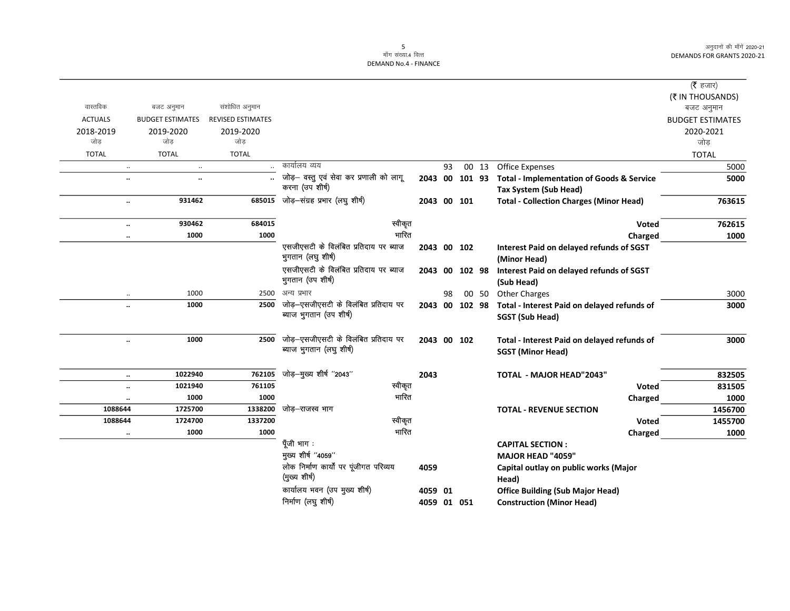| (रै हजार)               |                                                      |                |    |             |                                                                  |                          |                         |                      |
|-------------------------|------------------------------------------------------|----------------|----|-------------|------------------------------------------------------------------|--------------------------|-------------------------|----------------------|
| (₹ IN THOUSANDS)        |                                                      |                |    |             |                                                                  |                          |                         |                      |
| बजट अनुमान              |                                                      |                |    |             |                                                                  | संशोधित अनुमान           | बजट अनुमान              | वास्तविक             |
| <b>BUDGET ESTIMATES</b> |                                                      |                |    |             |                                                                  | <b>REVISED ESTIMATES</b> | <b>BUDGET ESTIMATES</b> | <b>ACTUALS</b>       |
| 2020-2021               |                                                      |                |    |             |                                                                  | 2019-2020                | 2019-2020               | 2018-2019            |
| जोड                     |                                                      |                |    |             |                                                                  | जोड                      | जोड                     | जोड                  |
| <b>TOTAL</b>            |                                                      |                |    |             |                                                                  | <b>TOTAL</b>             | <b>TOTAL</b>            | <b>TOTAL</b>         |
| 5000                    | <b>Office Expenses</b>                               | 00 13          | 93 |             | कार्यालय व्यय                                                    |                          | $\ldots$                |                      |
| 5000                    | <b>Total - Implementation of Goods &amp; Service</b> | 00 101 93      |    | 2043        | जोड़- वस्तु एवं सेवा कर प्रणाली को लागू                          |                          | $\ddotsc$               | $\ldots$             |
|                         | Tax System (Sub Head)                                |                |    |             | करना (उप शीर्ष)                                                  |                          |                         |                      |
| 763615                  | <b>Total - Collection Charges (Minor Head)</b>       |                |    | 2043 00 101 | जोड़-संग्रह प्रभार (लघु शीर्ष)                                   | 685015                   | 931462                  | $\ldots$             |
| 762615                  | <b>Voted</b>                                         |                |    |             | स्वीकृत                                                          | 684015                   | 930462                  | $\ldots$             |
| 1000                    | Charged                                              |                |    |             | गारित                                                            | 1000                     | 1000                    | $\ldots$             |
|                         | <b>Interest Paid on delayed refunds of SGST</b>      |                |    | 2043 00 102 | एसजीएसटी के विलंबित प्रतिदाय पर ब्याज                            |                          |                         |                      |
|                         | (Minor Head)                                         |                |    |             | भुगतान (लघु शीर्ष)                                               |                          |                         |                      |
|                         | Interest Paid on delayed refunds of SGST             | 00 102 98      |    | 2043        | एसजीएसटी के विलंबित प्रतिदाय पर ब्याज                            |                          |                         |                      |
|                         | (Sub Head)                                           |                |    |             | भुगतान (उप शीर्ष)                                                |                          |                         |                      |
| 3000                    | <b>Other Charges</b>                                 | 00 50          | 98 |             | अन्य प्रभार                                                      | 2500                     | 1000                    |                      |
| 3000                    | Total - Interest Paid on delayed refunds of          | 2043 00 102 98 |    |             | जोड़-एसजीएसटी के विलंबित प्रतिदाय पर                             | 2500                     | 1000                    | $\ddot{\phantom{a}}$ |
|                         | SGST (Sub Head)                                      |                |    |             | ब्याज भुगतान (उप शीर्ष)                                          |                          |                         |                      |
|                         |                                                      |                |    |             |                                                                  |                          |                         |                      |
| 3000                    | Total - Interest Paid on delayed refunds of          |                |    | 2043 00 102 | जोड़-एसजीएसटी के विलंबित प्रतिदाय पर<br>ब्याज भुगतान (लघु शीर्ष) | 2500                     | 1000                    | $\ddot{\phantom{a}}$ |
|                         | <b>SGST (Minor Head)</b>                             |                |    |             |                                                                  |                          |                         |                      |
| 832505                  | <b>TOTAL - MAJOR HEAD"2043"</b>                      |                |    | 2043        | जोड़—मुख्य शीर्ष "2043"                                          | 762105                   | 1022940                 | $\ldots$             |
| 831505                  | <b>Voted</b>                                         |                |    |             | स्वीकृत                                                          | 761105                   | 1021940                 | $\ddot{\phantom{a}}$ |
| 1000                    | Charged                                              |                |    |             | भारित                                                            | 1000                     | 1000                    | $\ddotsc$            |
| 1456700                 | <b>TOTAL - REVENUE SECTION</b>                       |                |    |             | जोड़–राजस्व भाग                                                  | 1338200                  | 1725700                 | 1088644              |
| 1455700                 | <b>Voted</b>                                         |                |    |             | स्वीकृत                                                          | 1337200                  | 1724700                 | 1088644              |
| 1000                    | Charged                                              |                |    |             | भारित                                                            | 1000                     | 1000                    |                      |
|                         | <b>CAPITAL SECTION:</b>                              |                |    |             | पूँजी भाग :                                                      |                          |                         |                      |
|                         | <b>MAJOR HEAD "4059"</b>                             |                |    |             | मुख्य शीर्ष "4059"                                               |                          |                         |                      |
|                         | Capital outlay on public works (Major                |                |    | 4059        | लोक निर्माण कार्यों पर पूंजीगत परिव्यय                           |                          |                         |                      |
|                         | Head)                                                |                |    |             | (मुख्य शीर्ष)                                                    |                          |                         |                      |
|                         | <b>Office Building (Sub Major Head)</b>              |                |    | 4059 01     | कार्यालय भवन (उप मुख्य शीर्ष)                                    |                          |                         |                      |
|                         | <b>Construction (Minor Head)</b>                     |                |    | 4059 01 051 | निर्माण (लघु शीर्ष)                                              |                          |                         |                      |
|                         |                                                      |                |    |             |                                                                  |                          |                         |                      |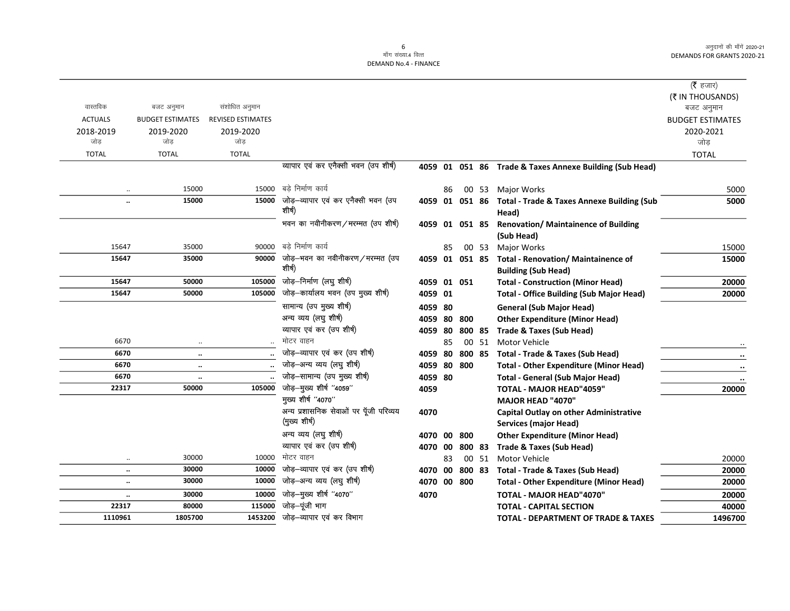|                |                         |                          |                                                         |             |    |        |       |                                                                    | ( <b>रै</b> हजार)       |
|----------------|-------------------------|--------------------------|---------------------------------------------------------|-------------|----|--------|-------|--------------------------------------------------------------------|-------------------------|
|                |                         |                          |                                                         |             |    |        |       |                                                                    | (₹ IN THOUSANDS)        |
| वास्तविक       | बजट अनुमान              | संशोधित अनुमान           |                                                         |             |    |        |       |                                                                    | बजट अनुमान              |
| <b>ACTUALS</b> | <b>BUDGET ESTIMATES</b> | <b>REVISED ESTIMATES</b> |                                                         |             |    |        |       |                                                                    | <b>BUDGET ESTIMATES</b> |
| 2018-2019      | 2019-2020               | 2019-2020                |                                                         |             |    |        |       |                                                                    | 2020-2021               |
| जोड            | जोड                     | जोड                      |                                                         |             |    |        |       |                                                                    | जोड                     |
| <b>TOTAL</b>   | <b>TOTAL</b>            | <b>TOTAL</b>             |                                                         |             |    |        |       |                                                                    | <b>TOTAL</b>            |
|                |                         |                          | व्यापार एवं कर एनैक्सी भवन (उप शीर्ष)                   |             |    |        |       | 4059 01 051 86 Trade & Taxes Annexe Building (Sub Head)            |                         |
| $\ddotsc$      | 15000                   | 15000                    | बड़े निर्माण कार्य                                      |             | 86 |        | 00 53 | Major Works                                                        | 5000                    |
| $\ldots$       | 15000                   |                          | $15000$ जोड़-व्यापार एवं कर एनैक्सी भवन (उप<br>शीर्ष)   |             |    |        |       | 4059 01 051 86 Total - Trade & Taxes Annexe Building (Sub<br>Head) | 5000                    |
|                |                         |                          | भवन का नवीनीकरण/मरम्मत (उप शीर्ष)                       |             |    |        |       | 4059 01 051 85 Renovation/Maintainence of Building                 |                         |
|                |                         |                          |                                                         |             |    |        |       | (Sub Head)                                                         |                         |
| 15647          | 35000                   | 90000                    | बडे निर्माण कार्य                                       |             | 85 |        | 00 53 | Major Works                                                        | 15000                   |
| 15647          | 35000                   | 90000                    | जोड़—भवन का नवीनीकरण/मरम्मत (उप                         |             |    |        |       | 4059 01 051 85 Total - Renovation/ Maintainence of                 | 15000                   |
|                |                         |                          | शीर्ष)                                                  |             |    |        |       | <b>Building (Sub Head)</b>                                         |                         |
| 15647          | 50000                   | 105000                   | जोड़-निर्माण (लघु शीर्ष)                                | 4059 01 051 |    |        |       | <b>Total - Construction (Minor Head)</b>                           | 20000                   |
| 15647          | 50000                   | 105000                   | जोड़-कार्यालय भवन (उप मुख्य शीर्ष)                      | 4059 01     |    |        |       | <b>Total - Office Building (Sub Major Head)</b>                    | 20000                   |
|                |                         |                          | सामान्य (उप मुख्य शीर्ष)                                | 4059 80     |    |        |       | <b>General (Sub Major Head)</b>                                    |                         |
|                |                         |                          | अन्य व्यय (लघु शीर्ष)                                   | 4059 80     |    | 800    |       | <b>Other Expenditure (Minor Head)</b>                              |                         |
|                |                         |                          | व्यापार एवं कर (उप शीर्ष)                               | 4059 80     |    |        |       | 800 85 Trade & Taxes (Sub Head)                                    |                         |
| 6670           | $\ldots$                |                          | मोटर वाहन                                               |             | 85 |        | 00 51 | Motor Vehicle                                                      |                         |
| 6670           | $\ddotsc$               |                          | जोड़-व्यापार एवं कर (उप शीर्ष)                          | 4059 80     |    |        |       | 800 85 Total - Trade & Taxes (Sub Head)                            |                         |
| 6670           | $\ldots$                |                          | जोड़-अन्य व्यय (लघु शीर्ष)                              | 4059 80 800 |    |        |       | <b>Total - Other Expenditure (Minor Head)</b>                      |                         |
| 6670           | $\ddot{\phantom{1}}$    |                          | जोड़-सामान्य (उप मुख्य शीर्ष)                           | 4059 80     |    |        |       | <b>Total - General (Sub Major Head)</b>                            |                         |
| 22317          | 50000                   | 105000                   | जोड़-मुख्य शीर्ष "4059"                                 | 4059        |    |        |       | <b>TOTAL - MAJOR HEAD"4059"</b>                                    | 20000                   |
|                |                         |                          | मुख्य शीर्ष "4070"                                      |             |    |        |       | MAJOR HEAD "4070"                                                  |                         |
|                |                         |                          | अन्य प्रशासनिक सेवाओं पर पूँजी परिव्यय<br>(मुख्य शीर्ष) | 4070        |    |        |       | Capital Outlay on other Administrative                             |                         |
|                |                         |                          |                                                         |             |    |        |       | <b>Services (major Head)</b>                                       |                         |
|                |                         |                          | अन्य व्यय (लघु शीर्ष)<br>व्यापार एवं कर (उप शीर्ष)      | 4070 00     |    | 800    |       | <b>Other Expenditure (Minor Head)</b>                              |                         |
|                |                         |                          | मोटर वाहन                                               | 4070 00     |    | 800 83 |       | Trade & Taxes (Sub Head)                                           |                         |
| $\ldots$       | 30000<br>30000          | 10000<br>10000           | जोड़-व्यापार एवं कर (उप शीर्ष)                          |             | 83 |        | 00 51 | Motor Vehicle                                                      | 20000                   |
| $\ddotsc$      | 30000                   | 10000                    | जोड़-अन्य व्यय (लघु शीर्ष)                              | 4070 00     |    |        |       | 800 83 Total - Trade & Taxes (Sub Head)                            | 20000                   |
| $\ldots$       |                         |                          |                                                         | 4070 00 800 |    |        |       | <b>Total - Other Expenditure (Minor Head)</b>                      | 20000                   |
| $\ldots$       | 30000                   | 10000<br>115000          | जोड़-मुख्य शीर्ष "4070"<br>जोड़-पूंजी भाग               | 4070        |    |        |       | <b>TOTAL - MAJOR HEAD"4070"</b>                                    | 20000                   |
| 22317          | 80000                   |                          |                                                         |             |    |        |       | <b>TOTAL - CAPITAL SECTION</b>                                     | 40000                   |
| 1110961        | 1805700                 | 1453200                  | जोड़—व्यापार एवं कर विभाग                               |             |    |        |       | <b>TOTAL - DEPARTMENT OF TRADE &amp; TAXES</b>                     | 1496700                 |